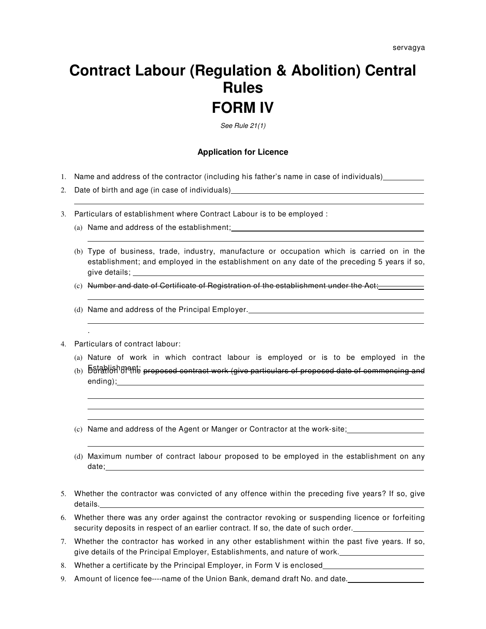## **Contract Labour (Regulation & Abolition) Central Rules FORM IV**

See Rule 21(1)

## **Application for Licence**

- 1. Name and address of the contractor (including his father's name in case of individuals)
- 2. Date of birth and age (in case of individuals)
- 3. Particulars of establishment where Contract Labour is to be employed :
	- (a) Name and address of the establishment;
	- (b) Type of business, trade, industry, manufacture or occupation which is carried on in the establishment; and employed in the establishment on any date of the preceding 5 years if so, give details;
	- (c) Number and date of Certificate of Registration of the establishment under the Act;
	- (d) Name and address of the Principal Employer.
- 4. Particulars of contract labour:

.

- (a) Nature of work in which contract labour is employed or is to be employed in the
- (b) **Buration of the proposed contract work (give particulars of proposed date of commencing and** ending);
- (c) Name and address of the Agent or Manger or Contractor at the work-site;
- (d) Maximum number of contract labour proposed to be employed in the establishment on any date;
- 5. Whether the contractor was convicted of any offence within the preceding five years? If so, give details. The contract of the contract of the contract of the contract of the contract of the contract of the contract of the contract of the contract of the contract of the contract of the contract of the contract of the c
- 6. Whether there was any order against the contractor revoking or suspending licence or forfeiting security deposits in respect of an earlier contract. If so, the date of such order.
- 7. Whether the contractor has worked in any other establishment within the past five years. If so, give details of the Principal Employer, Establishments, and nature of work.
- 8. Whether a certificate by the Principal Employer, in Form V is enclosed
- 9. Amount of licence fee----name of the Union Bank, demand draft No. and date.